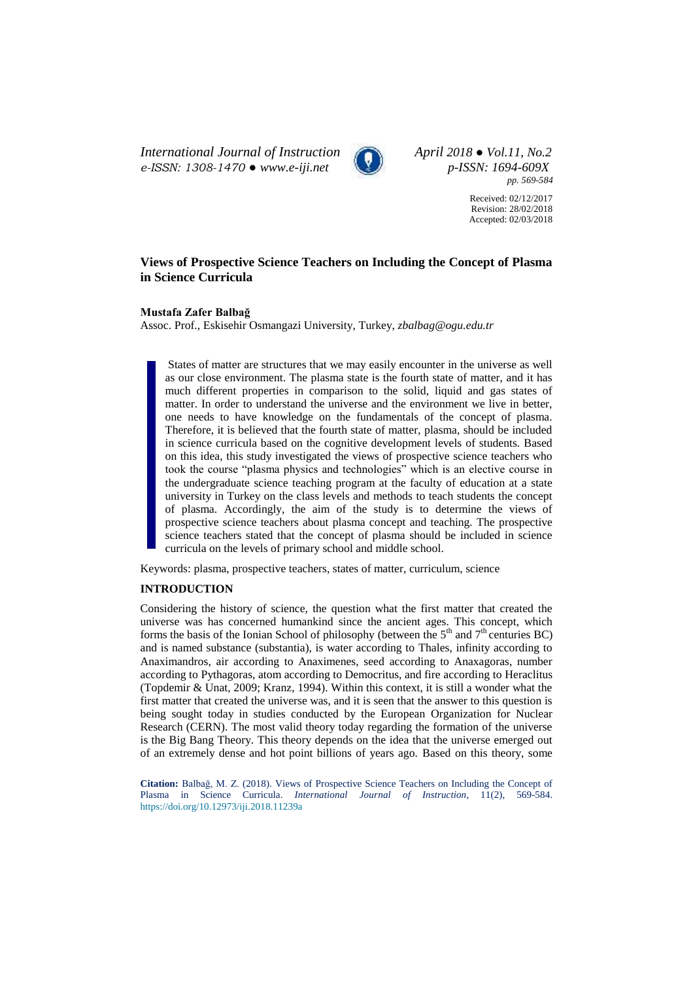*International Journal of Instruction April 2018 ● Vol.11, No.2 e-ISSN: 1308-1470 ● [www.e-iji.net](http://www.e-iji.net/) p-ISSN: 1694-609X*



*pp. 569-584*

Received: 02/12/2017 Revision: 28/02/2018 Accepted: 02/03/2018

# **Views of Prospective Science Teachers on Including the Concept of Plasma in Science Curricula**

#### **Mustafa Zafer Balbağ**

Assoc. Prof., Eskisehir Osmangazi University, Turkey, *zbalbag@ogu.edu.tr*

States of matter are structures that we may easily encounter in the universe as well as our close environment. The plasma state is the fourth state of matter, and it has much different properties in comparison to the solid, liquid and gas states of matter. In order to understand the universe and the environment we live in better, one needs to have knowledge on the fundamentals of the concept of plasma. Therefore, it is believed that the fourth state of matter, plasma, should be included in science curricula based on the cognitive development levels of students. Based on this idea, this study investigated the views of prospective science teachers who took the course "plasma physics and technologies" which is an elective course in the undergraduate science teaching program at the faculty of education at a state university in Turkey on the class levels and methods to teach students the concept of plasma. Accordingly, the aim of the study is to determine the views of prospective science teachers about plasma concept and teaching. The prospective science teachers stated that the concept of plasma should be included in science curricula on the levels of primary school and middle school.

Keywords: plasma, prospective teachers, states of matter, curriculum, science

### **INTRODUCTION**

Considering the history of science, the question what the first matter that created the universe was has concerned humankind since the ancient ages. This concept, which forms the basis of the Ionian School of philosophy (between the  $5<sup>th</sup>$  and  $7<sup>th</sup>$  centuries BC) and is named substance (substantia), is water according to Thales, infinity according to Anaximandros, air according to Anaximenes, seed according to Anaxagoras, number according to Pythagoras, atom according to Democritus, and fire according to Heraclitus (Topdemir & Unat, 2009; Kranz, 1994). Within this context, it is still a wonder what the first matter that created the universe was, and it is seen that the answer to this question is being sought today in studies conducted by the European Organization for Nuclear Research (CERN). The most valid theory today regarding the formation of the universe is the Big Bang Theory. This theory depends on the idea that the universe emerged out of an extremely dense and hot point billions of years ago. Based on this theory, some

**Citation:** Balbağ, M. Z. (2018). Views of Prospective Science Teachers on Including the Concept of Plasma in Science Curricula. *International Journal of Instruction*, 11(2), 569-584. <https://doi.org/10.12973/iji.2018.11239a>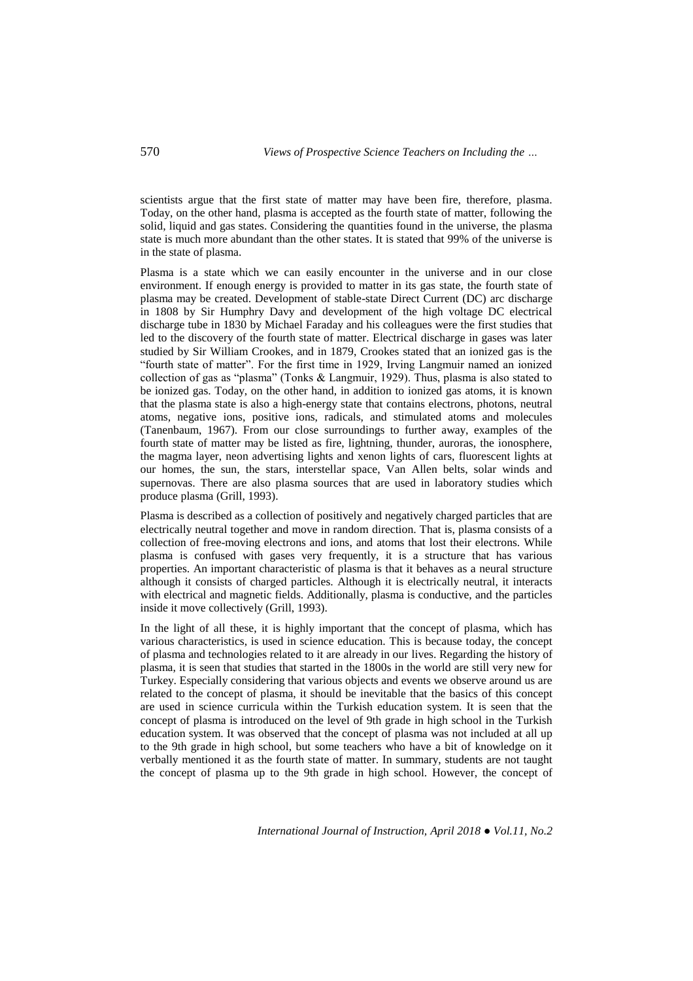scientists argue that the first state of matter may have been fire, therefore, plasma. Today, on the other hand, plasma is accepted as the fourth state of matter, following the solid, liquid and gas states. Considering the quantities found in the universe, the plasma state is much more abundant than the other states. It is stated that 99% of the universe is in the state of plasma.

Plasma is a state which we can easily encounter in the universe and in our close environment. If enough energy is provided to matter in its gas state, the fourth state of plasma may be created. Development of stable-state Direct Current (DC) arc discharge in 1808 by Sir Humphry Davy and development of the high voltage DC electrical discharge tube in 1830 by Michael Faraday and his colleagues were the first studies that led to the discovery of the fourth state of matter. Electrical discharge in gases was later studied by Sir William Crookes, and in 1879, Crookes stated that an ionized gas is the "fourth state of matter". For the first time in 1929, Irving Langmuir named an ionized collection of gas as "plasma" (Tonks & Langmuir, 1929). Thus, plasma is also stated to be ionized gas. Today, on the other hand, in addition to ionized gas atoms, it is known that the plasma state is also a high-energy state that contains electrons, photons, neutral atoms, negative ions, positive ions, radicals, and stimulated atoms and molecules (Tanenbaum, 1967). From our close surroundings to further away, examples of the fourth state of matter may be listed as fire, lightning, thunder, auroras, the ionosphere, the magma layer, neon advertising lights and xenon lights of cars, fluorescent lights at our homes, the sun, the stars, interstellar space, Van Allen belts, solar winds and supernovas. There are also plasma sources that are used in laboratory studies which produce plasma (Grill, 1993).

Plasma is described as a collection of positively and negatively charged particles that are electrically neutral together and move in random direction. That is, plasma consists of a collection of free-moving electrons and ions, and atoms that lost their electrons. While plasma is confused with gases very frequently, it is a structure that has various properties. An important characteristic of plasma is that it behaves as a neural structure although it consists of charged particles. Although it is electrically neutral, it interacts with electrical and magnetic fields. Additionally, plasma is conductive, and the particles inside it move collectively (Grill, 1993).

In the light of all these, it is highly important that the concept of plasma, which has various characteristics, is used in science education. This is because today, the concept of plasma and technologies related to it are already in our lives. Regarding the history of plasma, it is seen that studies that started in the 1800s in the world are still very new for Turkey. Especially considering that various objects and events we observe around us are related to the concept of plasma, it should be inevitable that the basics of this concept are used in science curricula within the Turkish education system. It is seen that the concept of plasma is introduced on the level of 9th grade in high school in the Turkish education system. It was observed that the concept of plasma was not included at all up to the 9th grade in high school, but some teachers who have a bit of knowledge on it verbally mentioned it as the fourth state of matter. In summary, students are not taught the concept of plasma up to the 9th grade in high school. However, the concept of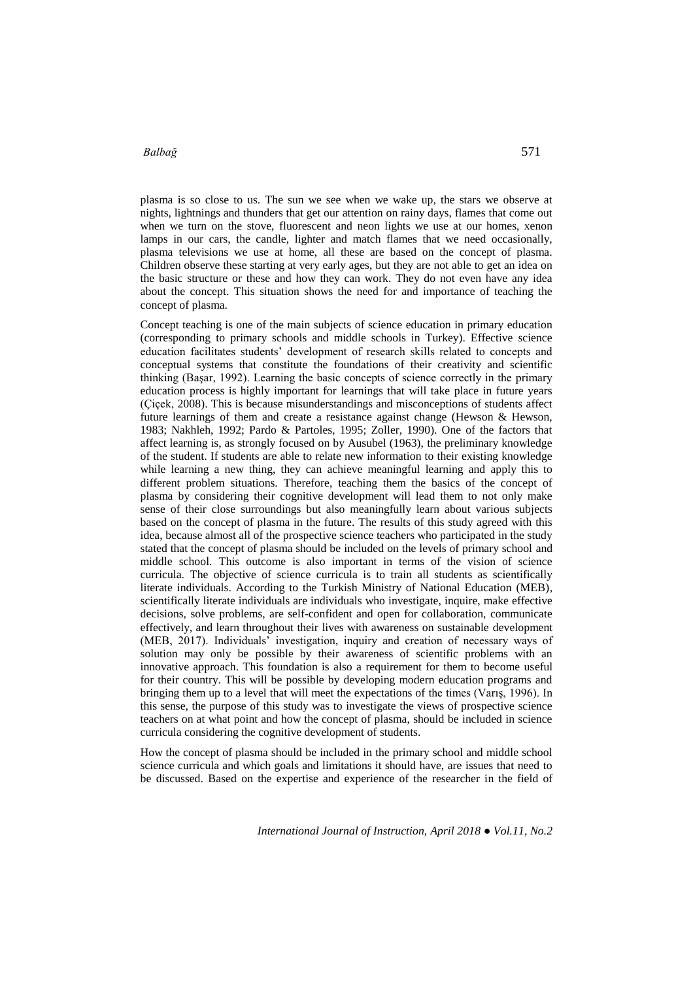plasma is so close to us. The sun we see when we wake up, the stars we observe at nights, lightnings and thunders that get our attention on rainy days, flames that come out when we turn on the stove, fluorescent and neon lights we use at our homes, xenon lamps in our cars, the candle, lighter and match flames that we need occasionally, plasma televisions we use at home, all these are based on the concept of plasma. Children observe these starting at very early ages, but they are not able to get an idea on the basic structure or these and how they can work. They do not even have any idea about the concept. This situation shows the need for and importance of teaching the concept of plasma.

Concept teaching is one of the main subjects of science education in primary education (corresponding to primary schools and middle schools in Turkey). Effective science education facilitates students' development of research skills related to concepts and conceptual systems that constitute the foundations of their creativity and scientific thinking (Başar, 1992). Learning the basic concepts of science correctly in the primary education process is highly important for learnings that will take place in future years (Çiçek, 2008). This is because misunderstandings and misconceptions of students affect future learnings of them and create a resistance against change (Hewson & Hewson, 1983; Nakhleh, 1992; Pardo & Partoles, 1995; Zoller, 1990). One of the factors that affect learning is, as strongly focused on by Ausubel (1963), the preliminary knowledge of the student. If students are able to relate new information to their existing knowledge while learning a new thing, they can achieve meaningful learning and apply this to different problem situations. Therefore, teaching them the basics of the concept of plasma by considering their cognitive development will lead them to not only make sense of their close surroundings but also meaningfully learn about various subjects based on the concept of plasma in the future. The results of this study agreed with this idea, because almost all of the prospective science teachers who participated in the study stated that the concept of plasma should be included on the levels of primary school and middle school. This outcome is also important in terms of the vision of science curricula. The objective of science curricula is to train all students as scientifically literate individuals. According to the Turkish Ministry of National Education (MEB), scientifically literate individuals are individuals who investigate, inquire, make effective decisions, solve problems, are self-confident and open for collaboration, communicate effectively, and learn throughout their lives with awareness on sustainable development (MEB, 2017). Individuals' investigation, inquiry and creation of necessary ways of solution may only be possible by their awareness of scientific problems with an innovative approach. This foundation is also a requirement for them to become useful for their country. This will be possible by developing modern education programs and bringing them up to a level that will meet the expectations of the times (Varış, 1996). In this sense, the purpose of this study was to investigate the views of prospective science teachers on at what point and how the concept of plasma, should be included in science curricula considering the cognitive development of students.

How the concept of plasma should be included in the primary school and middle school science curricula and which goals and limitations it should have, are issues that need to be discussed. Based on the expertise and experience of the researcher in the field of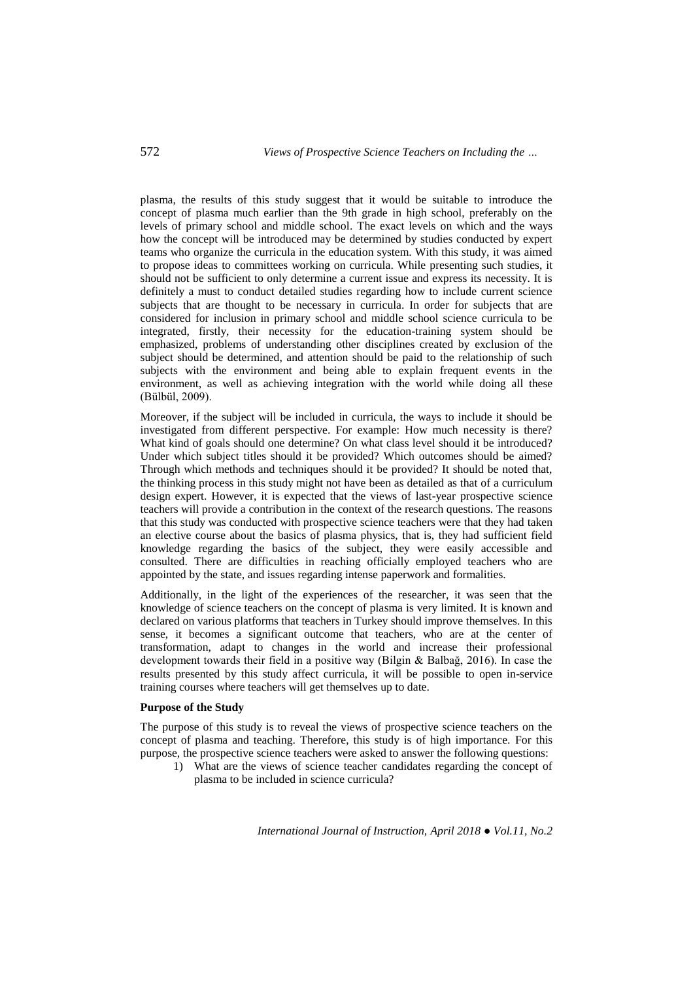plasma, the results of this study suggest that it would be suitable to introduce the concept of plasma much earlier than the 9th grade in high school, preferably on the levels of primary school and middle school. The exact levels on which and the ways how the concept will be introduced may be determined by studies conducted by expert teams who organize the curricula in the education system. With this study, it was aimed to propose ideas to committees working on curricula. While presenting such studies, it should not be sufficient to only determine a current issue and express its necessity. It is definitely a must to conduct detailed studies regarding how to include current science subjects that are thought to be necessary in curricula. In order for subjects that are considered for inclusion in primary school and middle school science curricula to be integrated, firstly, their necessity for the education-training system should be emphasized, problems of understanding other disciplines created by exclusion of the subject should be determined, and attention should be paid to the relationship of such subjects with the environment and being able to explain frequent events in the environment, as well as achieving integration with the world while doing all these (Bülbül, 2009).

Moreover, if the subject will be included in curricula, the ways to include it should be investigated from different perspective. For example: How much necessity is there? What kind of goals should one determine? On what class level should it be introduced? Under which subject titles should it be provided? Which outcomes should be aimed? Through which methods and techniques should it be provided? It should be noted that, the thinking process in this study might not have been as detailed as that of a curriculum design expert. However, it is expected that the views of last-year prospective science teachers will provide a contribution in the context of the research questions. The reasons that this study was conducted with prospective science teachers were that they had taken an elective course about the basics of plasma physics, that is, they had sufficient field knowledge regarding the basics of the subject, they were easily accessible and consulted. There are difficulties in reaching officially employed teachers who are appointed by the state, and issues regarding intense paperwork and formalities.

Additionally, in the light of the experiences of the researcher, it was seen that the knowledge of science teachers on the concept of plasma is very limited. It is known and declared on various platforms that teachers in Turkey should improve themselves. In this sense, it becomes a significant outcome that teachers, who are at the center of transformation, adapt to changes in the world and increase their professional development towards their field in a positive way (Bilgin & Balbağ, 2016). In case the results presented by this study affect curricula, it will be possible to open in-service training courses where teachers will get themselves up to date.

#### **Purpose of the Study**

The purpose of this study is to reveal the views of prospective science teachers on the concept of plasma and teaching. Therefore, this study is of high importance. For this purpose, the prospective science teachers were asked to answer the following questions:

1) What are the views of science teacher candidates regarding the concept of plasma to be included in science curricula?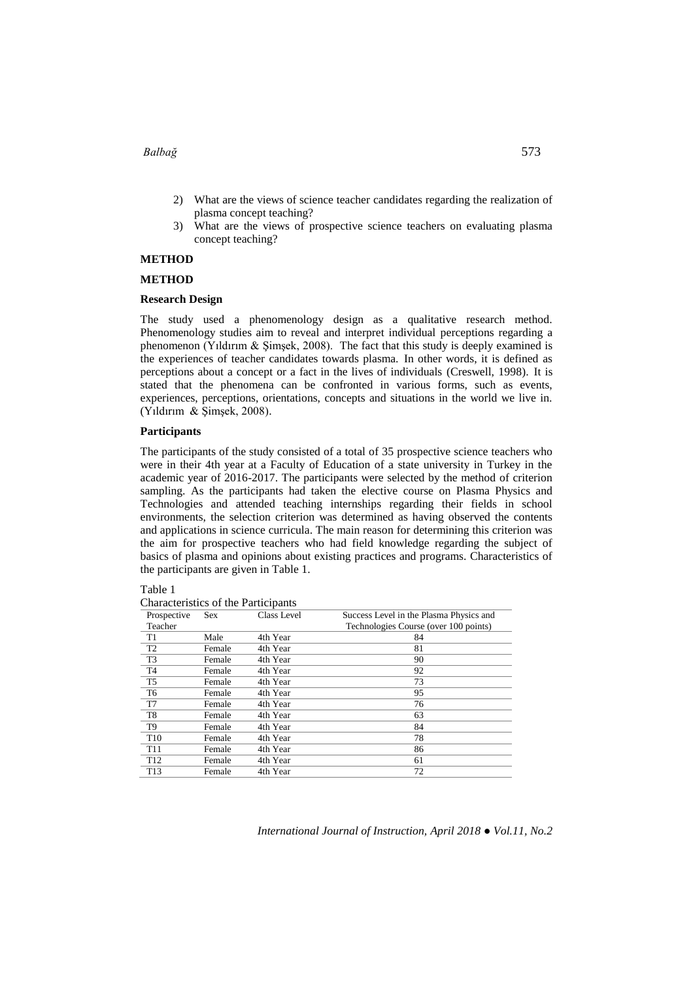- 2) What are the views of science teacher candidates regarding the realization of plasma concept teaching?
- 3) What are the views of prospective science teachers on evaluating plasma concept teaching?

#### **METHOD**

#### **METHOD**

#### **Research Design**

The study used a phenomenology design as a qualitative research method. Phenomenology studies aim to reveal and interpret individual perceptions regarding a phenomenon (Yıldırım & Şimşek, 2008). The fact that this study is deeply examined is the experiences of teacher candidates towards plasma. In other words, it is defined as perceptions about a concept or a fact in the lives of individuals (Creswell, 1998). It is stated that the phenomena can be confronted in various forms, such as events, experiences, perceptions, orientations, concepts and situations in the world we live in. (Yıldırım & Şimşek, 2008).

# **Participants**

The participants of the study consisted of a total of 35 prospective science teachers who were in their 4th year at a Faculty of Education of a state university in Turkey in the academic year of 2016-2017. The participants were selected by the method of criterion sampling. As the participants had taken the elective course on Plasma Physics and Technologies and attended teaching internships regarding their fields in school environments, the selection criterion was determined as having observed the contents and applications in science curricula. The main reason for determining this criterion was the aim for prospective teachers who had field knowledge regarding the subject of basics of plasma and opinions about existing practices and programs. Characteristics of the participants are given in Table 1.

| Prospective     | <b>Sex</b> | Class Level | Success Level in the Plasma Physics and |  |
|-----------------|------------|-------------|-----------------------------------------|--|
| Teacher         |            |             | Technologies Course (over 100 points)   |  |
| T <sub>1</sub>  | Male       | 4th Year    | 84                                      |  |
| T <sub>2</sub>  | Female     | 4th Year    | 81                                      |  |
| T <sub>3</sub>  | Female     | 4th Year    | 90                                      |  |
| T <sub>4</sub>  | Female     | 4th Year    | 92                                      |  |
| T <sub>5</sub>  | Female     | 4th Year    | 73                                      |  |
| T <sub>6</sub>  | Female     | 4th Year    | 95                                      |  |
| T7              | Female     | 4th Year    | 76                                      |  |
| T <sub>8</sub>  | Female     | 4th Year    | 63                                      |  |
| T <sub>9</sub>  | Female     | 4th Year    | 84                                      |  |
| T <sub>10</sub> | Female     | 4th Year    | 78                                      |  |
| T <sub>11</sub> | Female     | 4th Year    | 86                                      |  |
| T <sub>12</sub> | Female     | 4th Year    | 61                                      |  |
| T <sub>13</sub> | Female     | 4th Year    | 72                                      |  |

Table 1

Characteristics of the Participants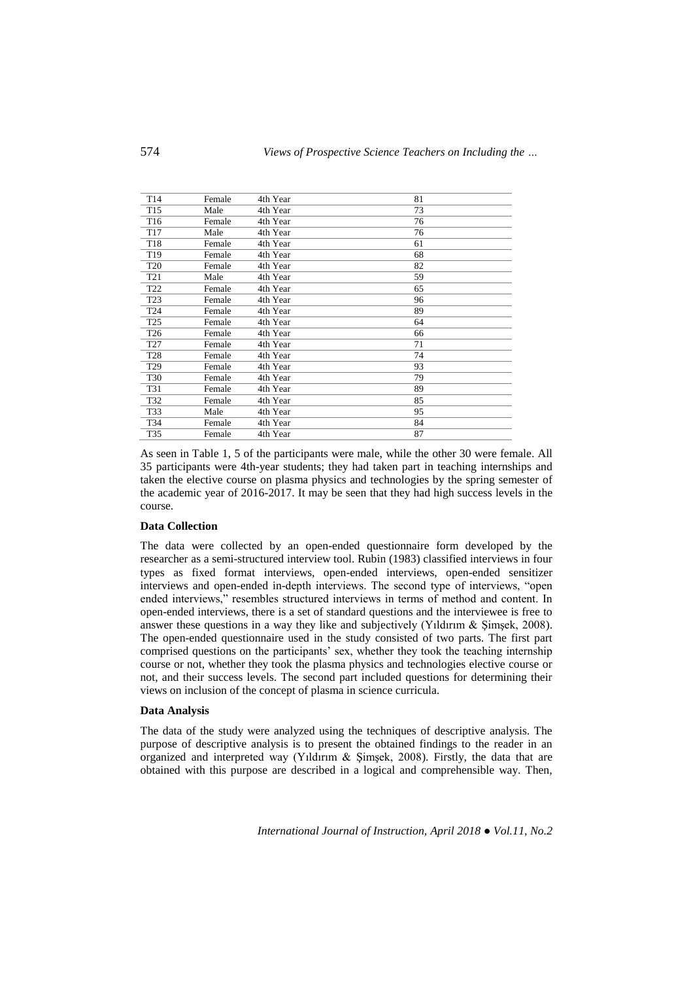| T <sub>14</sub> | Female | 4th Year | 81 |
|-----------------|--------|----------|----|
| T <sub>15</sub> | Male   | 4th Year | 73 |
| T <sub>16</sub> | Female | 4th Year | 76 |
| T <sub>17</sub> | Male   | 4th Year | 76 |
| T18             | Female | 4th Year | 61 |
| T <sub>19</sub> | Female | 4th Year | 68 |
| <b>T20</b>      | Female | 4th Year | 82 |
| T <sub>21</sub> | Male   | 4th Year | 59 |
| T <sub>22</sub> | Female | 4th Year | 65 |
| T <sub>23</sub> | Female | 4th Year | 96 |
| T <sub>24</sub> | Female | 4th Year | 89 |
| T <sub>25</sub> | Female | 4th Year | 64 |
| T <sub>26</sub> | Female | 4th Year | 66 |
| T <sub>27</sub> | Female | 4th Year | 71 |
| T28             | Female | 4th Year | 74 |
| T <sub>29</sub> | Female | 4th Year | 93 |
| <b>T30</b>      | Female | 4th Year | 79 |
| T31             | Female | 4th Year | 89 |
| T32             | Female | 4th Year | 85 |
| T33             | Male   | 4th Year | 95 |
| T34             | Female | 4th Year | 84 |
| T35             | Female | 4th Year | 87 |

As seen in Table 1, 5 of the participants were male, while the other 30 were female. All 35 participants were 4th-year students; they had taken part in teaching internships and taken the elective course on plasma physics and technologies by the spring semester of the academic year of 2016-2017. It may be seen that they had high success levels in the course.

#### **Data Collection**

The data were collected by an open-ended questionnaire form developed by the researcher as a semi-structured interview tool. Rubin (1983) classified interviews in four types as fixed format interviews, open-ended interviews, open-ended sensitizer interviews and open-ended in-depth interviews. The second type of interviews, "open ended interviews," resembles structured interviews in terms of method and content. In open-ended interviews, there is a set of standard questions and the interviewee is free to answer these questions in a way they like and subjectively (Yıldırım & Şimşek, 2008). The open-ended questionnaire used in the study consisted of two parts. The first part comprised questions on the participants' sex, whether they took the teaching internship course or not, whether they took the plasma physics and technologies elective course or not, and their success levels. The second part included questions for determining their views on inclusion of the concept of plasma in science curricula.

#### **Data Analysis**

The data of the study were analyzed using the techniques of descriptive analysis. The purpose of descriptive analysis is to present the obtained findings to the reader in an organized and interpreted way (Yıldırım & Şimşek, 2008). Firstly, the data that are obtained with this purpose are described in a logical and comprehensible way. Then,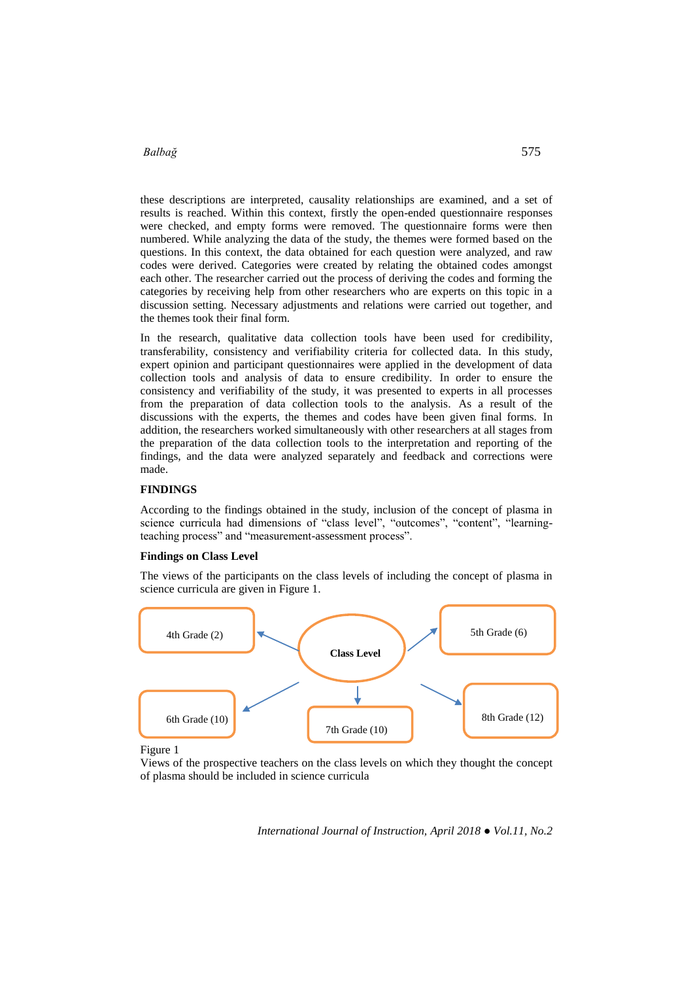these descriptions are interpreted, causality relationships are examined, and a set of results is reached. Within this context, firstly the open-ended questionnaire responses were checked, and empty forms were removed. The questionnaire forms were then numbered. While analyzing the data of the study, the themes were formed based on the questions. In this context, the data obtained for each question were analyzed, and raw codes were derived. Categories were created by relating the obtained codes amongst each other. The researcher carried out the process of deriving the codes and forming the categories by receiving help from other researchers who are experts on this topic in a discussion setting. Necessary adjustments and relations were carried out together, and the themes took their final form.

In the research, qualitative data collection tools have been used for credibility, transferability, consistency and verifiability criteria for collected data. In this study, expert opinion and participant questionnaires were applied in the development of data collection tools and analysis of data to ensure credibility. In order to ensure the consistency and verifiability of the study, it was presented to experts in all processes from the preparation of data collection tools to the analysis. As a result of the discussions with the experts, the themes and codes have been given final forms. In addition, the researchers worked simultaneously with other researchers at all stages from the preparation of the data collection tools to the interpretation and reporting of the findings, and the data were analyzed separately and feedback and corrections were made.

#### **FINDINGS**

According to the findings obtained in the study, inclusion of the concept of plasma in science curricula had dimensions of "class level", "outcomes", "content", "learningteaching process" and "measurement-assessment process".

# **Findings on Class Level**

The views of the participants on the class levels of including the concept of plasma in science curricula are given in Figure 1.



Figure 1

Views of the prospective teachers on the class levels on which they thought the concept of plasma should be included in science curricula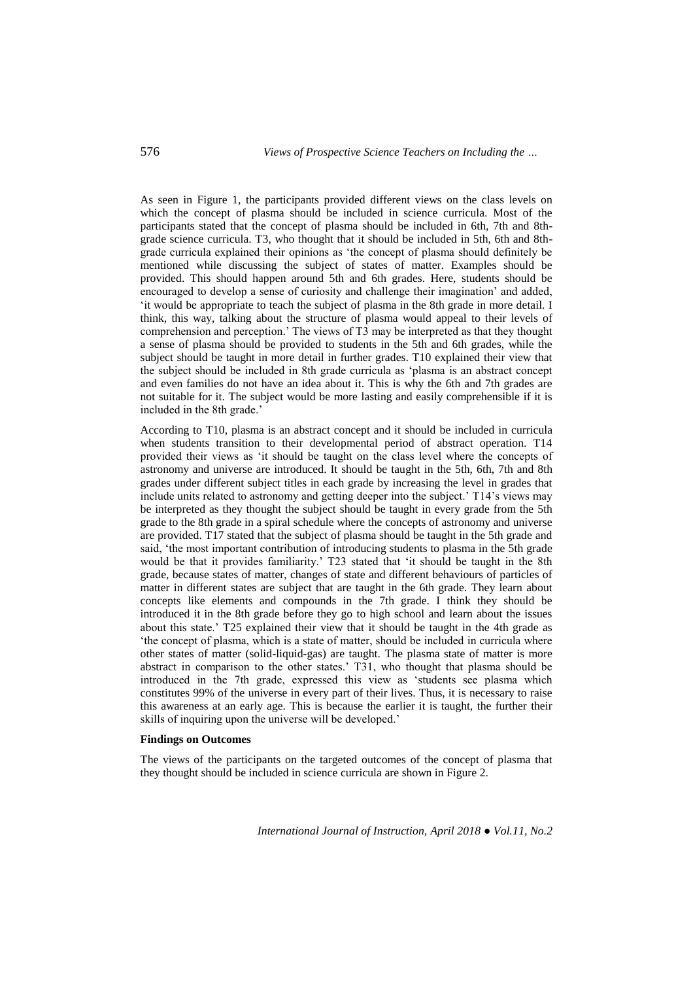As seen in Figure 1, the participants provided different views on the class levels on which the concept of plasma should be included in science curricula. Most of the participants stated that the concept of plasma should be included in 6th, 7th and 8thgrade science curricula. T3, who thought that it should be included in 5th, 6th and 8thgrade curricula explained their opinions as 'the concept of plasma should definitely be mentioned while discussing the subject of states of matter. Examples should be provided. This should happen around 5th and 6th grades. Here, students should be encouraged to develop a sense of curiosity and challenge their imagination' and added, 'it would be appropriate to teach the subject of plasma in the 8th grade in more detail. I think, this way, talking about the structure of plasma would appeal to their levels of comprehension and perception.' The views of T3 may be interpreted as that they thought a sense of plasma should be provided to students in the 5th and 6th grades, while the subject should be taught in more detail in further grades. T10 explained their view that the subject should be included in 8th grade curricula as 'plasma is an abstract concept and even families do not have an idea about it. This is why the 6th and 7th grades are not suitable for it. The subject would be more lasting and easily comprehensible if it is included in the 8th grade.'

According to T10, plasma is an abstract concept and it should be included in curricula when students transition to their developmental period of abstract operation. T14 provided their views as 'it should be taught on the class level where the concepts of astronomy and universe are introduced. It should be taught in the 5th, 6th, 7th and 8th grades under different subject titles in each grade by increasing the level in grades that include units related to astronomy and getting deeper into the subject.' T14's views may be interpreted as they thought the subject should be taught in every grade from the 5th grade to the 8th grade in a spiral schedule where the concepts of astronomy and universe are provided. T17 stated that the subject of plasma should be taught in the 5th grade and said, 'the most important contribution of introducing students to plasma in the 5th grade would be that it provides familiarity.' T23 stated that 'it should be taught in the 8th grade, because states of matter, changes of state and different behaviours of particles of matter in different states are subject that are taught in the 6th grade. They learn about concepts like elements and compounds in the 7th grade. I think they should be introduced it in the 8th grade before they go to high school and learn about the issues about this state.' T25 explained their view that it should be taught in the 4th grade as 'the concept of plasma, which is a state of matter, should be included in curricula where other states of matter (solid-liquid-gas) are taught. The plasma state of matter is more abstract in comparison to the other states.' T31, who thought that plasma should be introduced in the 7th grade, expressed this view as 'students see plasma which constitutes 99% of the universe in every part of their lives. Thus, it is necessary to raise this awareness at an early age. This is because the earlier it is taught, the further their skills of inquiring upon the universe will be developed.'

# **Findings on Outcomes**

The views of the participants on the targeted outcomes of the concept of plasma that they thought should be included in science curricula are shown in Figure 2.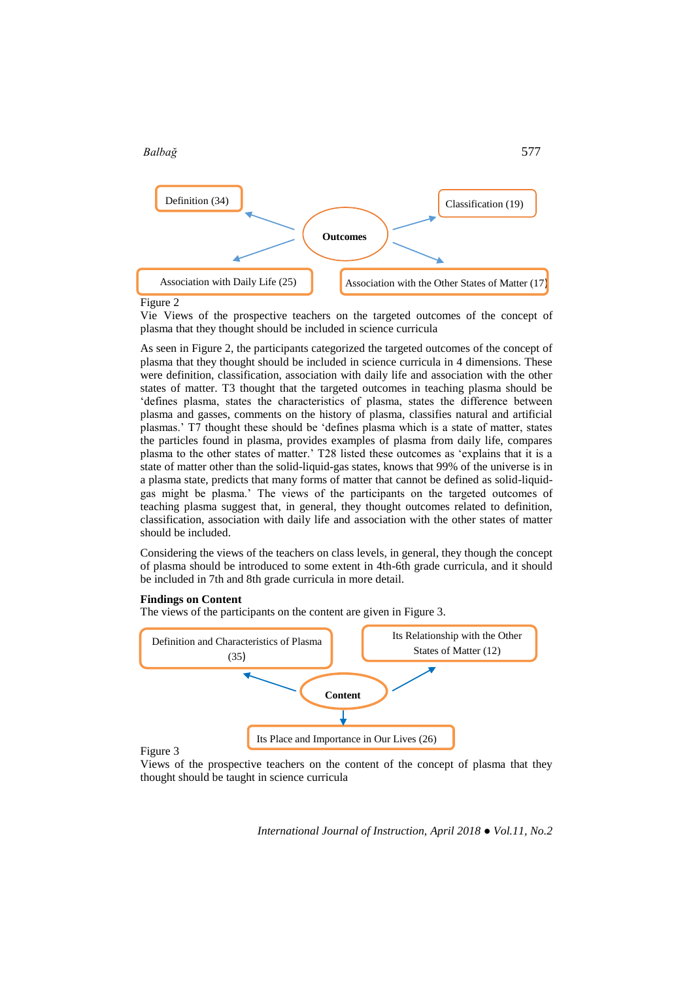

Figure 2

Vie Views of the prospective teachers on the targeted outcomes of the concept of plasma that they thought should be included in science curricula

As seen in Figure 2, the participants categorized the targeted outcomes of the concept of plasma that they thought should be included in science curricula in 4 dimensions. These were definition, classification, association with daily life and association with the other states of matter. T3 thought that the targeted outcomes in teaching plasma should be 'defines plasma, states the characteristics of plasma, states the difference between plasma and gasses, comments on the history of plasma, classifies natural and artificial plasmas.' T7 thought these should be 'defines plasma which is a state of matter, states the particles found in plasma, provides examples of plasma from daily life, compares plasma to the other states of matter.' T28 listed these outcomes as 'explains that it is a state of matter other than the solid-liquid-gas states, knows that 99% of the universe is in a plasma state, predicts that many forms of matter that cannot be defined as solid-liquidgas might be plasma.' The views of the participants on the targeted outcomes of teaching plasma suggest that, in general, they thought outcomes related to definition, classification, association with daily life and association with the other states of matter should be included.

Considering the views of the teachers on class levels, in general, they though the concept of plasma should be introduced to some extent in 4th-6th grade curricula, and it should be included in 7th and 8th grade curricula in more detail.

#### **Findings on Content**

The views of the participants on the content are given in Figure 3.



Views of the prospective teachers on the content of the concept of plasma that they thought should be taught in science curricula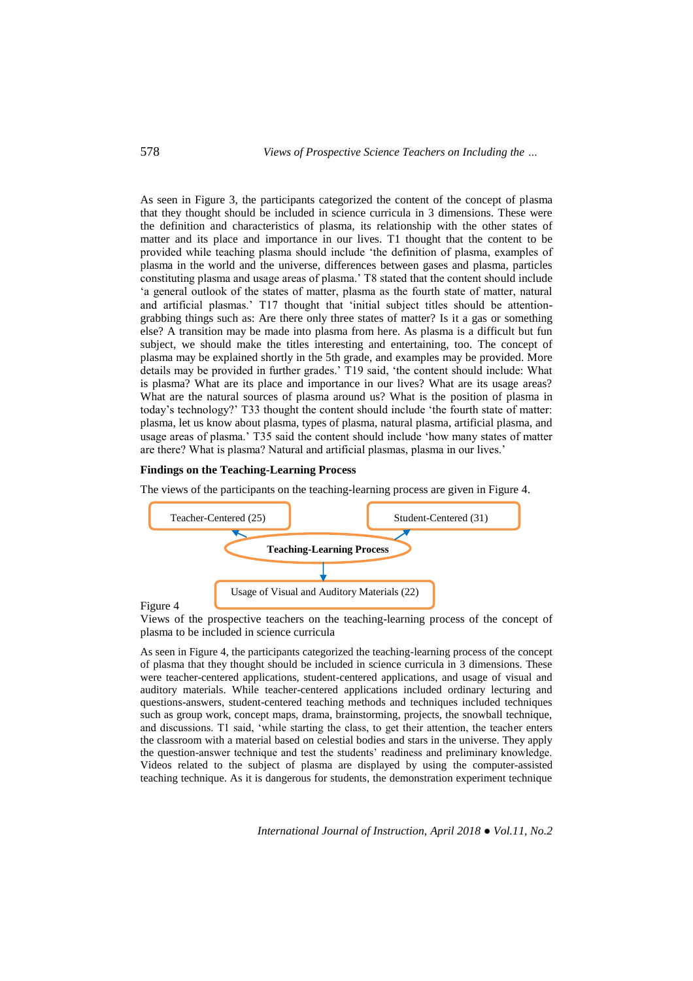As seen in Figure 3, the participants categorized the content of the concept of plasma that they thought should be included in science curricula in 3 dimensions. These were the definition and characteristics of plasma, its relationship with the other states of matter and its place and importance in our lives. T1 thought that the content to be provided while teaching plasma should include 'the definition of plasma, examples of plasma in the world and the universe, differences between gases and plasma, particles constituting plasma and usage areas of plasma.' T8 stated that the content should include 'a general outlook of the states of matter, plasma as the fourth state of matter, natural and artificial plasmas.' T17 thought that 'initial subject titles should be attentiongrabbing things such as: Are there only three states of matter? Is it a gas or something else? A transition may be made into plasma from here. As plasma is a difficult but fun subject, we should make the titles interesting and entertaining, too. The concept of plasma may be explained shortly in the 5th grade, and examples may be provided. More details may be provided in further grades.' T19 said, 'the content should include: What is plasma? What are its place and importance in our lives? What are its usage areas? What are the natural sources of plasma around us? What is the position of plasma in today's technology?' T33 thought the content should include 'the fourth state of matter: plasma, let us know about plasma, types of plasma, natural plasma, artificial plasma, and usage areas of plasma.' T35 said the content should include 'how many states of matter are there? What is plasma? Natural and artificial plasmas, plasma in our lives.'

#### **Findings on the Teaching-Learning Process**

The views of the participants on the teaching-learning process are given in Figure 4.



Figure 4

Views of the prospective teachers on the teaching-learning process of the concept of plasma to be included in science curricula

As seen in Figure 4, the participants categorized the teaching-learning process of the concept of plasma that they thought should be included in science curricula in 3 dimensions. These were teacher-centered applications, student-centered applications, and usage of visual and auditory materials. While teacher-centered applications included ordinary lecturing and questions-answers, student-centered teaching methods and techniques included techniques such as group work, concept maps, drama, brainstorming, projects, the snowball technique, and discussions. T1 said, 'while starting the class, to get their attention, the teacher enters the classroom with a material based on celestial bodies and stars in the universe. They apply the question-answer technique and test the students' readiness and preliminary knowledge. Videos related to the subject of plasma are displayed by using the computer-assisted teaching technique. As it is dangerous for students, the demonstration experiment technique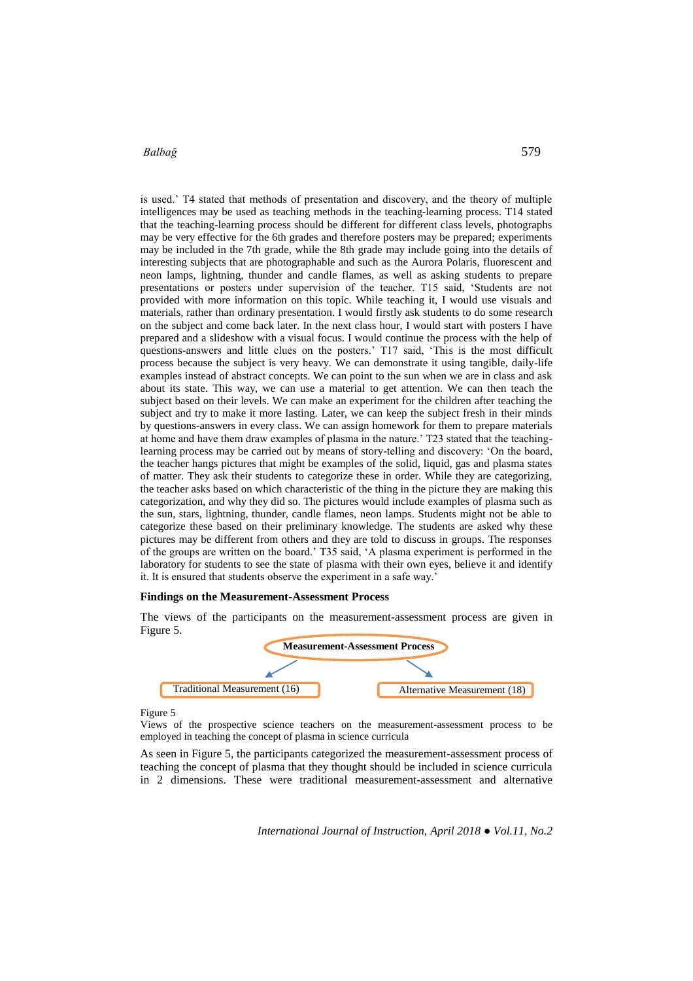is used.' T4 stated that methods of presentation and discovery, and the theory of multiple intelligences may be used as teaching methods in the teaching-learning process. T14 stated that the teaching-learning process should be different for different class levels, photographs may be very effective for the 6th grades and therefore posters may be prepared; experiments may be included in the 7th grade, while the 8th grade may include going into the details of interesting subjects that are photographable and such as the Aurora Polaris, fluorescent and neon lamps, lightning, thunder and candle flames, as well as asking students to prepare presentations or posters under supervision of the teacher. T15 said, 'Students are not provided with more information on this topic. While teaching it, I would use visuals and materials, rather than ordinary presentation. I would firstly ask students to do some research on the subject and come back later. In the next class hour, I would start with posters I have prepared and a slideshow with a visual focus. I would continue the process with the help of questions-answers and little clues on the posters.' T17 said, 'This is the most difficult process because the subject is very heavy. We can demonstrate it using tangible, daily-life examples instead of abstract concepts. We can point to the sun when we are in class and ask about its state. This way, we can use a material to get attention. We can then teach the subject based on their levels. We can make an experiment for the children after teaching the subject and try to make it more lasting. Later, we can keep the subject fresh in their minds by questions-answers in every class. We can assign homework for them to prepare materials at home and have them draw examples of plasma in the nature.' T23 stated that the teachinglearning process may be carried out by means of story-telling and discovery: 'On the board, the teacher hangs pictures that might be examples of the solid, liquid, gas and plasma states of matter. They ask their students to categorize these in order. While they are categorizing, the teacher asks based on which characteristic of the thing in the picture they are making this categorization, and why they did so. The pictures would include examples of plasma such as the sun, stars, lightning, thunder, candle flames, neon lamps. Students might not be able to categorize these based on their preliminary knowledge. The students are asked why these pictures may be different from others and they are told to discuss in groups. The responses of the groups are written on the board.' T35 said, 'A plasma experiment is performed in the laboratory for students to see the state of plasma with their own eyes, believe it and identify it. It is ensured that students observe the experiment in a safe way.'

#### **Findings on the Measurement-Assessment Process**

The views of the participants on the measurement-assessment process are given in Figure 5.



Figure 5

Views of the prospective science teachers on the measurement-assessment process to be employed in teaching the concept of plasma in science curricula

As seen in Figure 5, the participants categorized the measurement-assessment process of teaching the concept of plasma that they thought should be included in science curricula in 2 dimensions. These were traditional measurement-assessment and alternative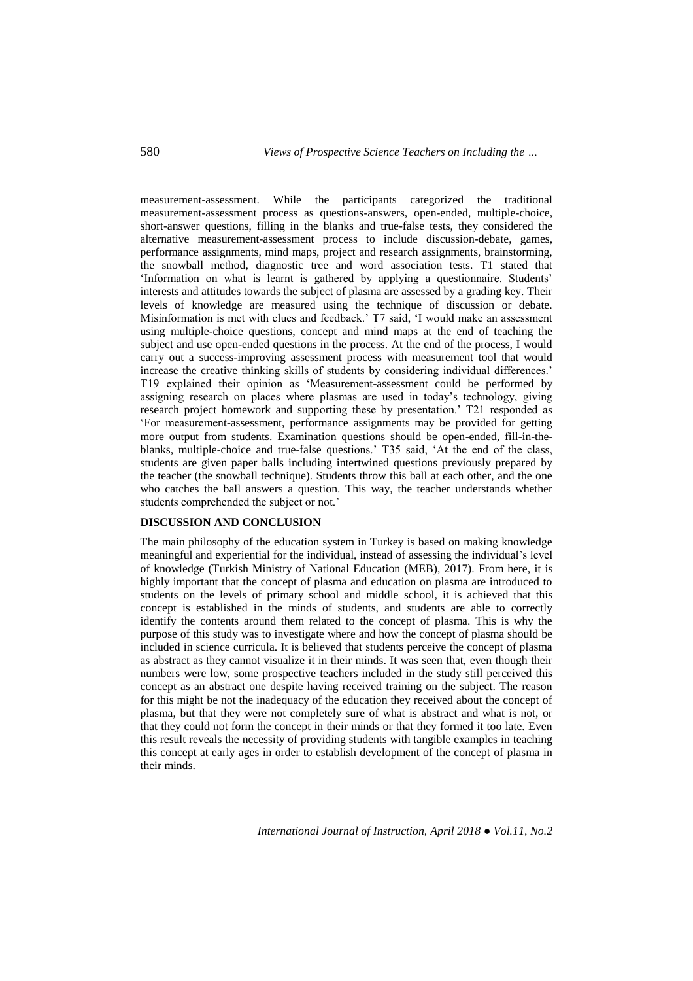measurement-assessment. While the participants categorized the traditional measurement-assessment process as questions-answers, open-ended, multiple-choice, short-answer questions, filling in the blanks and true-false tests, they considered the alternative measurement-assessment process to include discussion-debate, games, performance assignments, mind maps, project and research assignments, brainstorming, the snowball method, diagnostic tree and word association tests. T1 stated that 'Information on what is learnt is gathered by applying a questionnaire. Students' interests and attitudes towards the subject of plasma are assessed by a grading key. Their levels of knowledge are measured using the technique of discussion or debate. Misinformation is met with clues and feedback.' T7 said, 'I would make an assessment using multiple-choice questions, concept and mind maps at the end of teaching the subject and use open-ended questions in the process. At the end of the process, I would carry out a success-improving assessment process with measurement tool that would increase the creative thinking skills of students by considering individual differences.' T19 explained their opinion as 'Measurement-assessment could be performed by assigning research on places where plasmas are used in today's technology, giving research project homework and supporting these by presentation.' T21 responded as 'For measurement-assessment, performance assignments may be provided for getting more output from students. Examination questions should be open-ended, fill-in-theblanks, multiple-choice and true-false questions.' T35 said, 'At the end of the class, students are given paper balls including intertwined questions previously prepared by the teacher (the snowball technique). Students throw this ball at each other, and the one who catches the ball answers a question. This way, the teacher understands whether students comprehended the subject or not.'

# **DISCUSSION AND CONCLUSION**

The main philosophy of the education system in Turkey is based on making knowledge meaningful and experiential for the individual, instead of assessing the individual's level of knowledge (Turkish Ministry of National Education (MEB), 2017). From here, it is highly important that the concept of plasma and education on plasma are introduced to students on the levels of primary school and middle school, it is achieved that this concept is established in the minds of students, and students are able to correctly identify the contents around them related to the concept of plasma. This is why the purpose of this study was to investigate where and how the concept of plasma should be included in science curricula. It is believed that students perceive the concept of plasma as abstract as they cannot visualize it in their minds. It was seen that, even though their numbers were low, some prospective teachers included in the study still perceived this concept as an abstract one despite having received training on the subject. The reason for this might be not the inadequacy of the education they received about the concept of plasma, but that they were not completely sure of what is abstract and what is not, or that they could not form the concept in their minds or that they formed it too late. Even this result reveals the necessity of providing students with tangible examples in teaching this concept at early ages in order to establish development of the concept of plasma in their minds.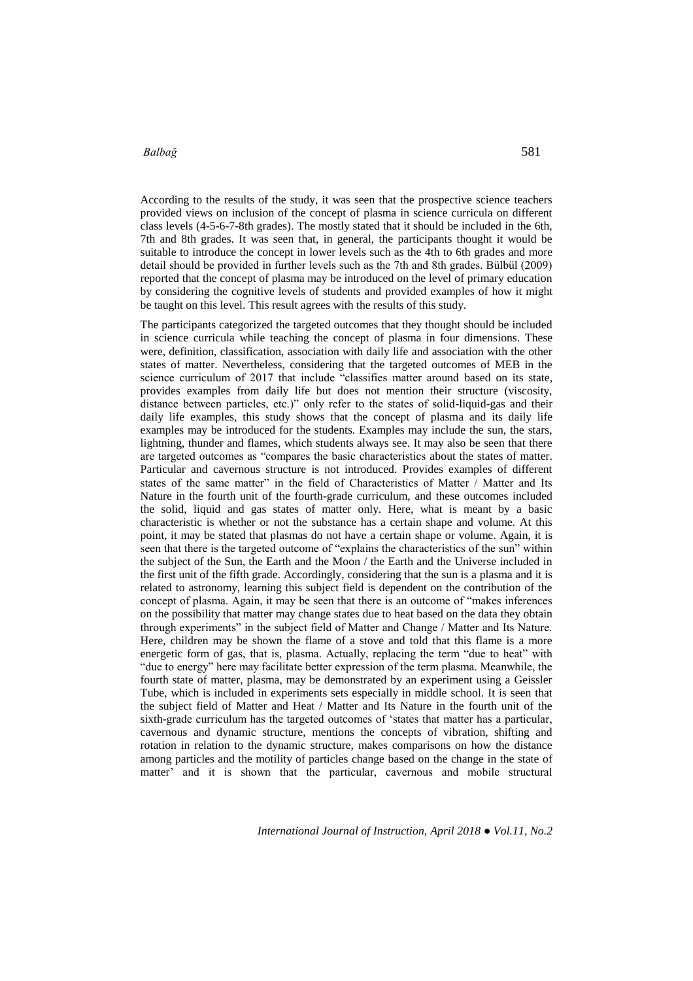According to the results of the study, it was seen that the prospective science teachers provided views on inclusion of the concept of plasma in science curricula on different class levels (4-5-6-7-8th grades). The mostly stated that it should be included in the 6th, 7th and 8th grades. It was seen that, in general, the participants thought it would be suitable to introduce the concept in lower levels such as the 4th to 6th grades and more detail should be provided in further levels such as the 7th and 8th grades. Bülbül (2009) reported that the concept of plasma may be introduced on the level of primary education by considering the cognitive levels of students and provided examples of how it might be taught on this level. This result agrees with the results of this study.

The participants categorized the targeted outcomes that they thought should be included in science curricula while teaching the concept of plasma in four dimensions. These were, definition, classification, association with daily life and association with the other states of matter. Nevertheless, considering that the targeted outcomes of MEB in the science curriculum of 2017 that include "classifies matter around based on its state, provides examples from daily life but does not mention their structure (viscosity, distance between particles, etc.)" only refer to the states of solid-liquid-gas and their daily life examples, this study shows that the concept of plasma and its daily life examples may be introduced for the students. Examples may include the sun, the stars, lightning, thunder and flames, which students always see. It may also be seen that there are targeted outcomes as "compares the basic characteristics about the states of matter. Particular and cavernous structure is not introduced. Provides examples of different states of the same matter" in the field of Characteristics of Matter / Matter and Its Nature in the fourth unit of the fourth-grade curriculum, and these outcomes included the solid, liquid and gas states of matter only. Here, what is meant by a basic characteristic is whether or not the substance has a certain shape and volume. At this point, it may be stated that plasmas do not have a certain shape or volume. Again, it is seen that there is the targeted outcome of "explains the characteristics of the sun" within the subject of the Sun, the Earth and the Moon / the Earth and the Universe included in the first unit of the fifth grade. Accordingly, considering that the sun is a plasma and it is related to astronomy, learning this subject field is dependent on the contribution of the concept of plasma. Again, it may be seen that there is an outcome of "makes inferences on the possibility that matter may change states due to heat based on the data they obtain through experiments" in the subject field of Matter and Change / Matter and Its Nature. Here, children may be shown the flame of a stove and told that this flame is a more energetic form of gas, that is, plasma. Actually, replacing the term "due to heat" with "due to energy" here may facilitate better expression of the term plasma. Meanwhile, the fourth state of matter, plasma, may be demonstrated by an experiment using a Geissler Tube, which is included in experiments sets especially in middle school. It is seen that the subject field of Matter and Heat / Matter and Its Nature in the fourth unit of the sixth-grade curriculum has the targeted outcomes of 'states that matter has a particular, cavernous and dynamic structure, mentions the concepts of vibration, shifting and rotation in relation to the dynamic structure, makes comparisons on how the distance among particles and the motility of particles change based on the change in the state of matter' and it is shown that the particular, cavernous and mobile structural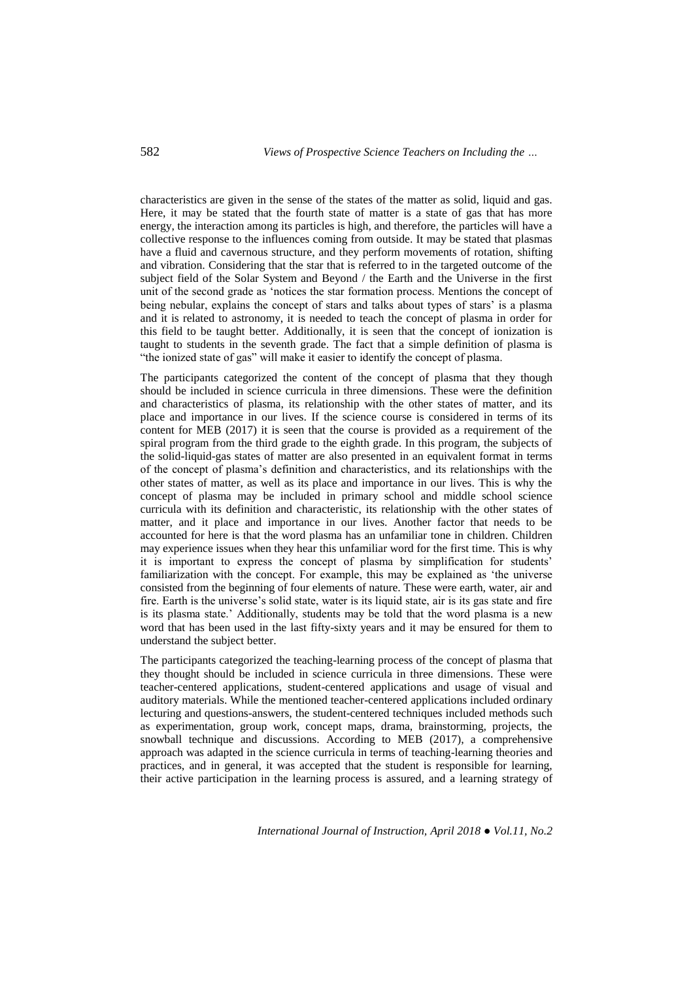characteristics are given in the sense of the states of the matter as solid, liquid and gas. Here, it may be stated that the fourth state of matter is a state of gas that has more energy, the interaction among its particles is high, and therefore, the particles will have a collective response to the influences coming from outside. It may be stated that plasmas have a fluid and cavernous structure, and they perform movements of rotation, shifting and vibration. Considering that the star that is referred to in the targeted outcome of the subject field of the Solar System and Beyond / the Earth and the Universe in the first unit of the second grade as 'notices the star formation process. Mentions the concept of being nebular, explains the concept of stars and talks about types of stars' is a plasma and it is related to astronomy, it is needed to teach the concept of plasma in order for this field to be taught better. Additionally, it is seen that the concept of ionization is taught to students in the seventh grade. The fact that a simple definition of plasma is "the ionized state of gas" will make it easier to identify the concept of plasma.

The participants categorized the content of the concept of plasma that they though should be included in science curricula in three dimensions. These were the definition and characteristics of plasma, its relationship with the other states of matter, and its place and importance in our lives. If the science course is considered in terms of its content for MEB (2017) it is seen that the course is provided as a requirement of the spiral program from the third grade to the eighth grade. In this program, the subjects of the solid-liquid-gas states of matter are also presented in an equivalent format in terms of the concept of plasma's definition and characteristics, and its relationships with the other states of matter, as well as its place and importance in our lives. This is why the concept of plasma may be included in primary school and middle school science curricula with its definition and characteristic, its relationship with the other states of matter, and it place and importance in our lives. Another factor that needs to be accounted for here is that the word plasma has an unfamiliar tone in children. Children may experience issues when they hear this unfamiliar word for the first time. This is why it is important to express the concept of plasma by simplification for students' familiarization with the concept. For example, this may be explained as 'the universe consisted from the beginning of four elements of nature. These were earth, water, air and fire. Earth is the universe's solid state, water is its liquid state, air is its gas state and fire is its plasma state.' Additionally, students may be told that the word plasma is a new word that has been used in the last fifty-sixty years and it may be ensured for them to understand the subject better.

The participants categorized the teaching-learning process of the concept of plasma that they thought should be included in science curricula in three dimensions. These were teacher-centered applications, student-centered applications and usage of visual and auditory materials. While the mentioned teacher-centered applications included ordinary lecturing and questions-answers, the student-centered techniques included methods such as experimentation, group work, concept maps, drama, brainstorming, projects, the snowball technique and discussions. According to MEB (2017), a comprehensive approach was adapted in the science curricula in terms of teaching-learning theories and practices, and in general, it was accepted that the student is responsible for learning, their active participation in the learning process is assured, and a learning strategy of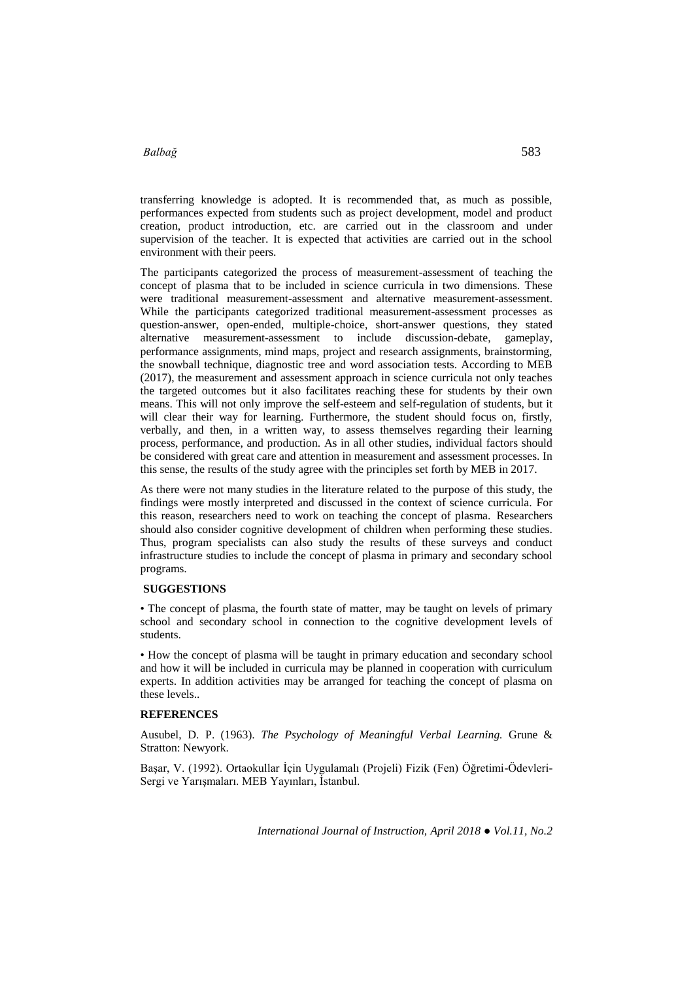transferring knowledge is adopted. It is recommended that, as much as possible, performances expected from students such as project development, model and product creation, product introduction, etc. are carried out in the classroom and under supervision of the teacher. It is expected that activities are carried out in the school environment with their peers.

The participants categorized the process of measurement-assessment of teaching the concept of plasma that to be included in science curricula in two dimensions. These were traditional measurement-assessment and alternative measurement-assessment. While the participants categorized traditional measurement-assessment processes as question-answer, open-ended, multiple-choice, short-answer questions, they stated alternative measurement-assessment to include discussion-debate, gameplay, performance assignments, mind maps, project and research assignments, brainstorming, the snowball technique, diagnostic tree and word association tests. According to MEB (2017), the measurement and assessment approach in science curricula not only teaches the targeted outcomes but it also facilitates reaching these for students by their own means. This will not only improve the self-esteem and self-regulation of students, but it will clear their way for learning. Furthermore, the student should focus on, firstly, verbally, and then, in a written way, to assess themselves regarding their learning process, performance, and production. As in all other studies, individual factors should be considered with great care and attention in measurement and assessment processes. In this sense, the results of the study agree with the principles set forth by MEB in 2017.

As there were not many studies in the literature related to the purpose of this study, the findings were mostly interpreted and discussed in the context of science curricula. For this reason, researchers need to work on teaching the concept of plasma. Researchers should also consider cognitive development of children when performing these studies. Thus, program specialists can also study the results of these surveys and conduct infrastructure studies to include the concept of plasma in primary and secondary school programs.

#### **SUGGESTIONS**

• The concept of plasma, the fourth state of matter, may be taught on levels of primary school and secondary school in connection to the cognitive development levels of students.

• How the concept of plasma will be taught in primary education and secondary school and how it will be included in curricula may be planned in cooperation with curriculum experts. In addition activities may be arranged for teaching the concept of plasma on these levels..

#### **REFERENCES**

Ausubel, D. P. (1963). *The Psychology of Meaningful Verbal Learning.* Grune & Stratton: Newyork.

Başar, V. (1992). Ortaokullar İçin Uygulamalı (Projeli) Fizik (Fen) Öğretimi-Ödevleri-Sergi ve Yarışmaları. MEB Yayınları, İstanbul.